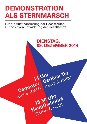## **DEMONSTRATION ALS STERNMARSCH**

Für die Ausfinanzierung der Hochschulen zur positiven Entwicklung der Gesellschaft